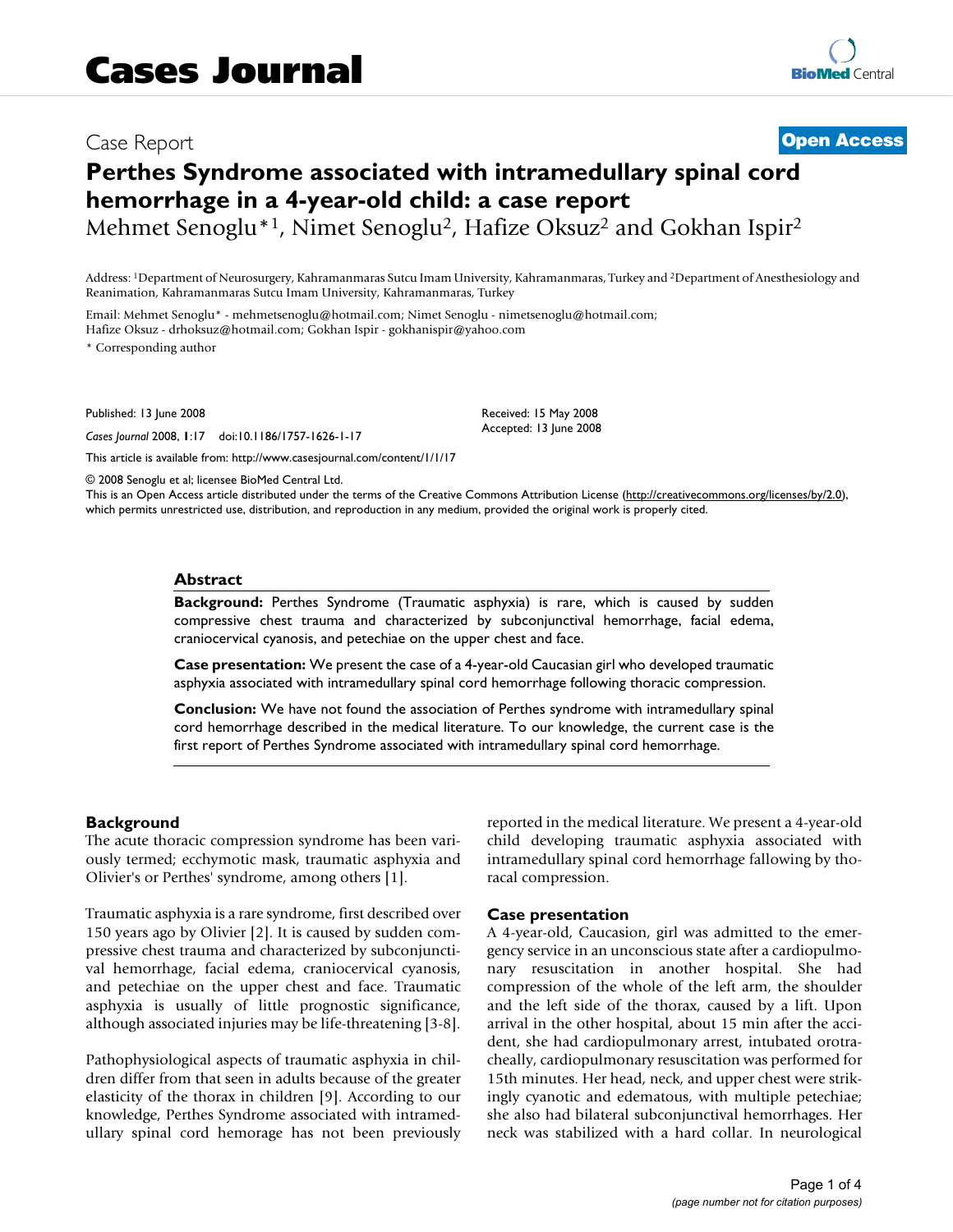# Case Report **[Open Access](http://www.biomedcentral.com/info/about/charter/)**

# **Perthes Syndrome associated with intramedullary spinal cord hemorrhage in a 4-year-old child: a case report**

Mehmet Senoglu\*<sup>1</sup>, Nimet Senoglu<sup>2</sup>, Hafize Oksuz<sup>2</sup> and Gokhan Ispir<sup>2</sup>

Address: 1Department of Neurosurgery, Kahramanmaras Sutcu Imam University, Kahramanmaras, Turkey and 2Department of Anesthesiology and Reanimation, Kahramanmaras Sutcu Imam University, Kahramanmaras, Turkey

Email: Mehmet Senoglu\* - mehmetsenoglu@hotmail.com; Nimet Senoglu - nimetsenoglu@hotmail.com;

Hafize Oksuz - drhoksuz@hotmail.com; Gokhan Ispir - gokhanispir@yahoo.com

\* Corresponding author

Published: 13 June 2008

*Cases Journal* 2008, **1**:17 doi:10.1186/1757-1626-1-17

[This article is available from: http://www.casesjournal.com/content/1/1/17](http://www.casesjournal.com/content/1/1/17)

© 2008 Senoglu et al; licensee BioMed Central Ltd.

This is an Open Access article distributed under the terms of the Creative Commons Attribution License [\(http://creativecommons.org/licenses/by/2.0\)](http://creativecommons.org/licenses/by/2.0), which permits unrestricted use, distribution, and reproduction in any medium, provided the original work is properly cited.

Received: 15 May 2008 Accepted: 13 June 2008

#### **Abstract**

**Background:** Perthes Syndrome (Traumatic asphyxia) is rare, which is caused by sudden compressive chest trauma and characterized by subconjunctival hemorrhage, facial edema, craniocervical cyanosis, and petechiae on the upper chest and face.

**Case presentation:** We present the case of a 4-year-old Caucasian girl who developed traumatic asphyxia associated with intramedullary spinal cord hemorrhage following thoracic compression.

**Conclusion:** We have not found the association of Perthes syndrome with intramedullary spinal cord hemorrhage described in the medical literature. To our knowledge, the current case is the first report of Perthes Syndrome associated with intramedullary spinal cord hemorrhage.

#### **Background**

The acute thoracic compression syndrome has been variously termed; ecchymotic mask, traumatic asphyxia and Olivier's or Perthes' syndrome, among others [1].

Traumatic asphyxia is a rare syndrome, first described over 150 years ago by Olivier [2]. It is caused by sudden compressive chest trauma and characterized by subconjunctival hemorrhage, facial edema, craniocervical cyanosis, and petechiae on the upper chest and face. Traumatic asphyxia is usually of little prognostic significance, although associated injuries may be life-threatening [3-8].

Pathophysiological aspects of traumatic asphyxia in children differ from that seen in adults because of the greater elasticity of the thorax in children [9]. According to our knowledge, Perthes Syndrome associated with intramedullary spinal cord hemorage has not been previously reported in the medical literature. We present a 4-year-old child developing traumatic asphyxia associated with intramedullary spinal cord hemorrhage fallowing by thoracal compression.

#### **Case presentation**

A 4-year-old, Caucasion, girl was admitted to the emergency service in an unconscious state after a cardiopulmonary resuscitation in another hospital. She had compression of the whole of the left arm, the shoulder and the left side of the thorax, caused by a lift. Upon arrival in the other hospital, about 15 min after the accident, she had cardiopulmonary arrest, intubated orotracheally, cardiopulmonary resuscitation was performed for 15th minutes. Her head, neck, and upper chest were strikingly cyanotic and edematous, with multiple petechiae; she also had bilateral subconjunctival hemorrhages. Her neck was stabilized with a hard collar. In neurological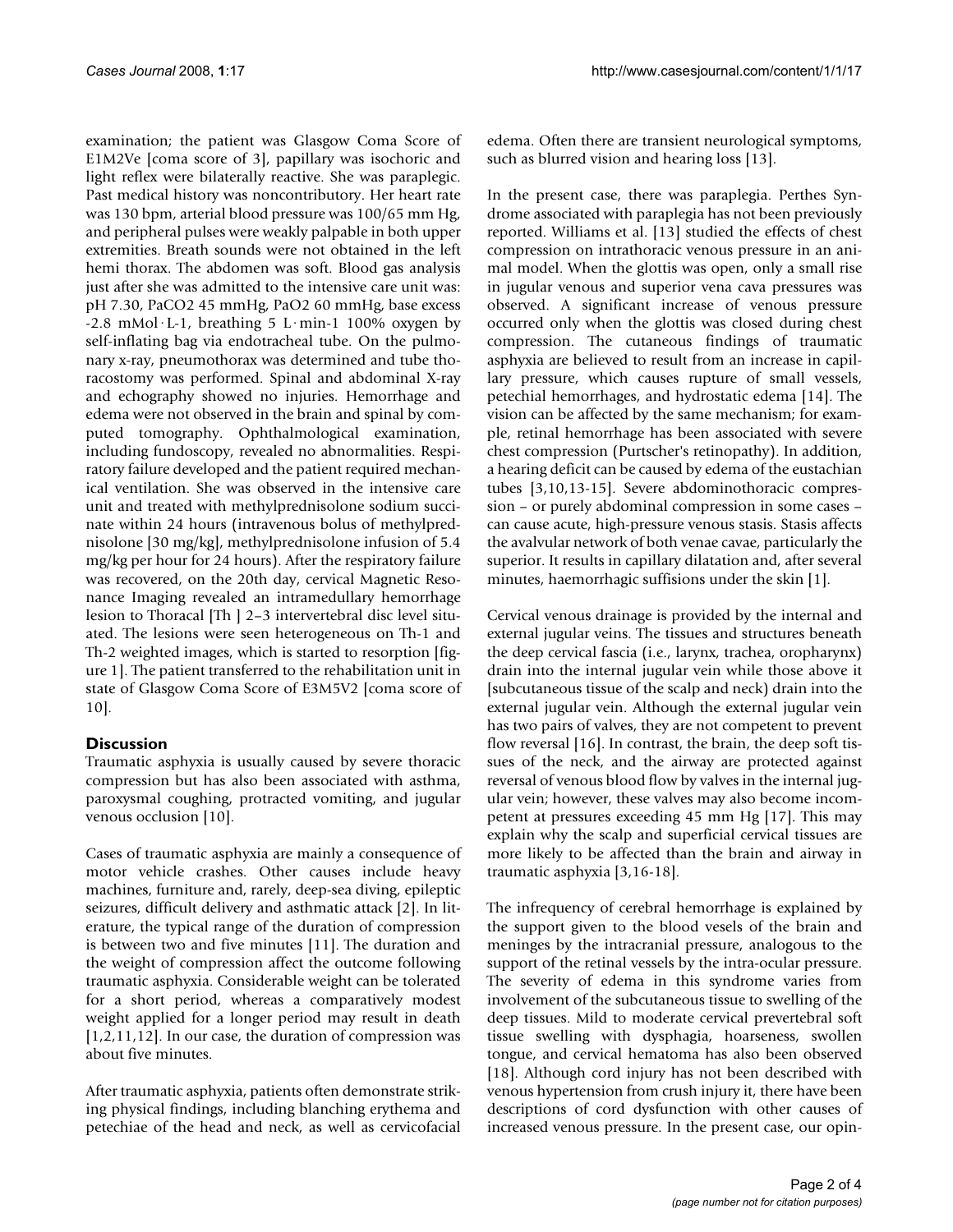examination; the patient was Glasgow Coma Score of E1M2Ve [coma score of 3], papillary was isochoric and light reflex were bilaterally reactive. She was paraplegic. Past medical history was noncontributory. Her heart rate was 130 bpm, arterial blood pressure was 100/65 mm Hg, and peripheral pulses were weakly palpable in both upper extremities. Breath sounds were not obtained in the left hemi thorax. The abdomen was soft. Blood gas analysis just after she was admitted to the intensive care unit was: pH 7.30, PaCO2 45 mmHg, PaO2 60 mmHg, base excess  $-2.8$  mMol $\cdot$ L $-1$ , breathing 5 L $\cdot$ min $-1$  100% oxygen by self-inflating bag via endotracheal tube. On the pulmonary x-ray, pneumothorax was determined and tube thoracostomy was performed. Spinal and abdominal X-ray and echography showed no injuries. Hemorrhage and edema were not observed in the brain and spinal by computed tomography. Ophthalmological examination, including fundoscopy, revealed no abnormalities. Respiratory failure developed and the patient required mechanical ventilation. She was observed in the intensive care unit and treated with methylprednisolone sodium succinate within 24 hours (intravenous bolus of methylprednisolone [30 mg/kg], methylprednisolone infusion of 5.4 mg/kg per hour for 24 hours). After the respiratory failure was recovered, on the 20th day, cervical Magnetic Resonance Imaging revealed an intramedullary hemorrhage lesion to Thoracal [Th ] 2–3 intervertebral disc level situated. The lesions were seen heterogeneous on Th-1 and Th-2 weighted images, which is started to resorption [figure 1]. The patient transferred to the rehabilitation unit in state of Glasgow Coma Score of E3M5V2 [coma score of 10].

# **Discussion**

Traumatic asphyxia is usually caused by severe thoracic compression but has also been associated with asthma, paroxysmal coughing, protracted vomiting, and jugular venous occlusion [10].

Cases of traumatic asphyxia are mainly a consequence of motor vehicle crashes. Other causes include heavy machines, furniture and, rarely, deep-sea diving, epileptic seizures, difficult delivery and asthmatic attack [2]. In literature, the typical range of the duration of compression is between two and five minutes [11]. The duration and the weight of compression affect the outcome following traumatic asphyxia. Considerable weight can be tolerated for a short period, whereas a comparatively modest weight applied for a longer period may result in death [1,2,11,12]. In our case, the duration of compression was about five minutes.

After traumatic asphyxia, patients often demonstrate striking physical findings, including blanching erythema and petechiae of the head and neck, as well as cervicofacial

edema. Often there are transient neurological symptoms, such as blurred vision and hearing loss [13].

In the present case, there was paraplegia. Perthes Syndrome associated with paraplegia has not been previously reported. Williams et al. [13] studied the effects of chest compression on intrathoracic venous pressure in an animal model. When the glottis was open, only a small rise in jugular venous and superior vena cava pressures was observed. A significant increase of venous pressure occurred only when the glottis was closed during chest compression. The cutaneous findings of traumatic asphyxia are believed to result from an increase in capillary pressure, which causes rupture of small vessels, petechial hemorrhages, and hydrostatic edema [14]. The vision can be affected by the same mechanism; for example, retinal hemorrhage has been associated with severe chest compression (Purtscher's retinopathy). In addition, a hearing deficit can be caused by edema of the eustachian tubes [3,10,13-15]. Severe abdominothoracic compression – or purely abdominal compression in some cases – can cause acute, high-pressure venous stasis. Stasis affects the avalvular network of both venae cavae, particularly the superior. It results in capillary dilatation and, after several minutes, haemorrhagic suffisions under the skin [1].

Cervical venous drainage is provided by the internal and external jugular veins. The tissues and structures beneath the deep cervical fascia (i.e., larynx, trachea, oropharynx) drain into the internal jugular vein while those above it [subcutaneous tissue of the scalp and neck) drain into the external jugular vein. Although the external jugular vein has two pairs of valves, they are not competent to prevent flow reversal [16]. In contrast, the brain, the deep soft tissues of the neck, and the airway are protected against reversal of venous blood flow by valves in the internal jugular vein; however, these valves may also become incompetent at pressures exceeding 45 mm Hg [17]. This may explain why the scalp and superficial cervical tissues are more likely to be affected than the brain and airway in traumatic asphyxia [3,16-18].

The infrequency of cerebral hemorrhage is explained by the support given to the blood vesels of the brain and meninges by the intracranial pressure, analogous to the support of the retinal vessels by the intra-ocular pressure. The severity of edema in this syndrome varies from involvement of the subcutaneous tissue to swelling of the deep tissues. Mild to moderate cervical prevertebral soft tissue swelling with dysphagia, hoarseness, swollen tongue, and cervical hematoma has also been observed [18]. Although cord injury has not been described with venous hypertension from crush injury it, there have been descriptions of cord dysfunction with other causes of increased venous pressure. In the present case, our opin-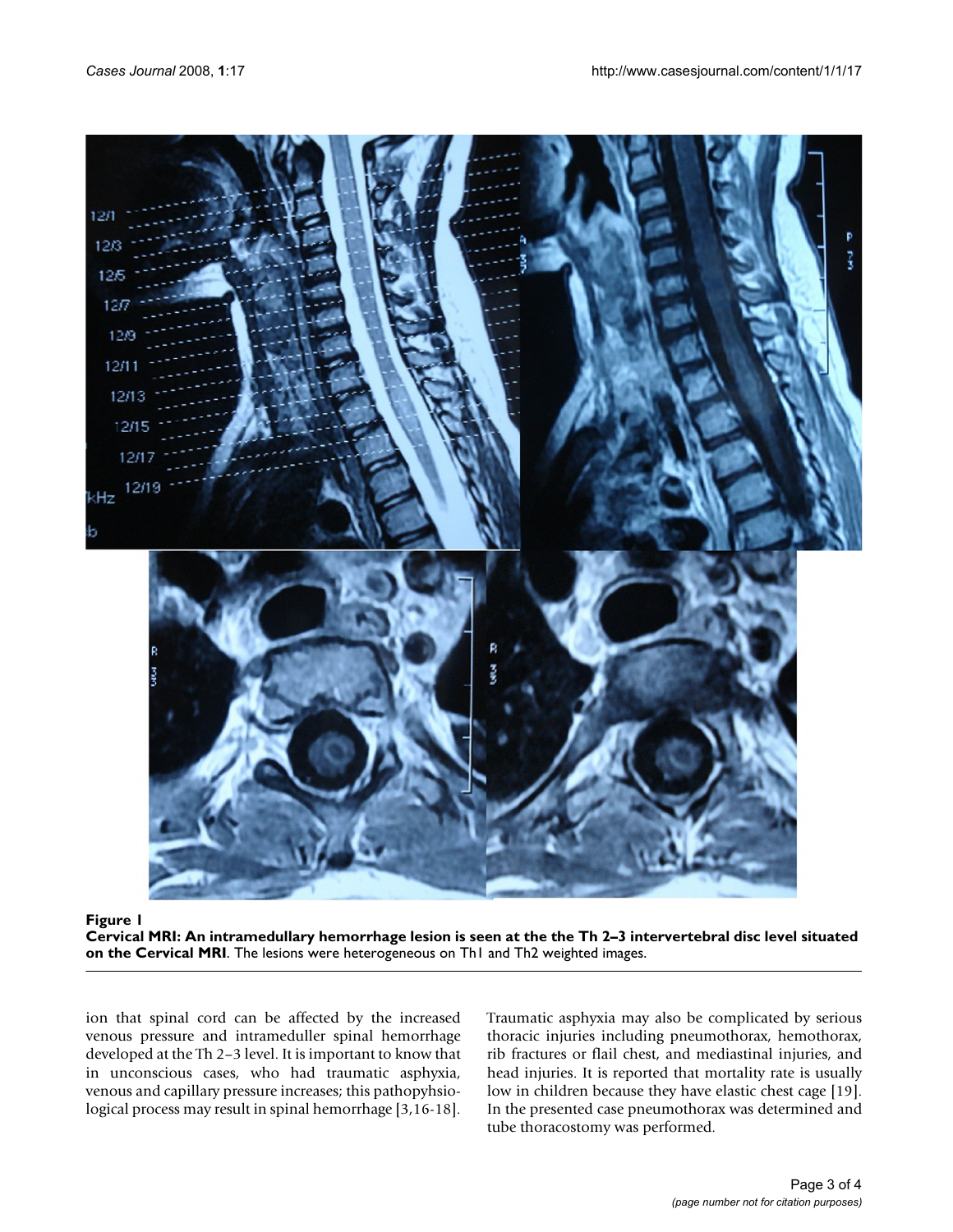

# Cervical MRI: An intramedullary hemorrhage lesion is seen at th MRI **Figure 1** e the Th 2–3 intervertebral disc level situated on the Cervical

**Cervical MRI: An intramedullary hemorrhage lesion is seen at the the Th 2–3 intervertebral disc level situated on the Cervical MRI**. The lesions were heterogeneous on Th1 and Th2 weighted images.

ion that spinal cord can be affected by the increased venous pressure and intrameduller spinal hemorrhage developed at the Th 2–3 level. It is important to know that in unconscious cases, who had traumatic asphyxia, venous and capillary pressure increases; this pathopyhsiological process may result in spinal hemorrhage [3,16-18]. Traumatic asphyxia may also be complicated by serious thoracic injuries including pneumothorax, hemothorax, rib fractures or flail chest, and mediastinal injuries, and head injuries. It is reported that mortality rate is usually low in children because they have elastic chest cage [19]. In the presented case pneumothorax was determined and tube thoracostomy was performed.